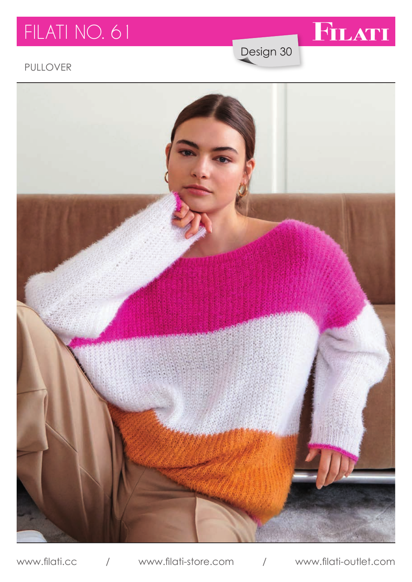# FILATI NO. 61



Design 30

### PULLOVER

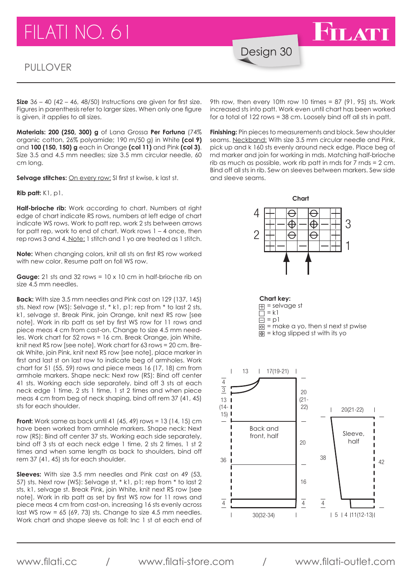# FILATI NO. 61

#### PULLOVER

Design 30

**Size** 36 – 40 (42 – 46, 48/50) Instructions are given for first size. Figures in parenthesis refer to larger sizes. When only one figure is given, it applies to all sizes.

**Materials: 200 (250, 300) g** of Lana Grossa **Per Fortuna** (74% organic cotton, 26% polyamide; 190 m/50 g) in White **(col 9)** and **100 (150, 150) g** each in Orange **(col 11)** and Pink **(col 3)**. Size 3.5 and 4.5 mm needles; size 3.5 mm circular needle, 60 cm long.

Selvage stitches: **On every row:** SI first st kwise, k last st.

**Rib patt:** K1, p1.

**Half-brioche rib:** Work according to chart. Numbers at right edge of chart indicate RS rows, numbers at left edge of chart indicate WS rows. Work to patt rep, work 2 sts between arrows for patt rep, work to end of chart. Work rows 1 – 4 once, then rep rows 3 and 4. Note: 1 stitch and 1 yo are treated as 1 stitch.

**Note:** When changing colors, knit all sts on first RS row worked with new color. Resume patt on foll WS row.

**Gauge:** 21 sts and 32 rows = 10 x 10 cm in half-brioche rib on size 4.5 mm needles.

**Back:** With size 3.5 mm needles and Pink cast on 129 (137, 145) sts. Next row (WS): Selvage st, \* k1, p1; rep from \* to last 2 sts, k1, selvage st. Break Pink, join Orange, knit next RS row [see note]. Work in rib patt as set by first WS row for 11 rows and piece meas 4 cm from cast-on. Change to size 4.5 mm needles. Work chart for 52 rows = 16 cm. Break Orange, join White, knit next RS row [see note]. Work chart for 63 rows = 20 cm. Break White, join Pink, knit next RS row [see note], place marker in first and last st on last row to indicate beg of armholes. Work chart for 51 (55, 59) rows and piece meas 16 (17, 18) cm from armhole markers. Shape neck: Next row (RS): Bind off center 41 sts. Working each side separately, bind off 3 sts at each neck edge 1 time, 2 sts 1 time, 1 st 2 times and when piece meas 4 cm from beg of neck shaping, bind off rem 37 (41, 45) sts for each shoulder.

**Front:** Work same as back until 41 (45, 49) rows = 13 (14, 15) cm have been worked from armhole markers. Shape neck: Next rave been worked normalmingte markets: shape need, rear<br>row (RS): Bind off center 37 sts. Working each side separately, bind off 3 sts at each neck edge 1 time, 2 sts 2 times, 1 st 2 times and when same length as back to shoulders, bind off rem 37 (41, 45) sts for each shoulder. ا ا<br>ا

**Sleeves:** With size 3.5 mm needles and Pink cast on 49 (53, 57) sts. Next row (WS): Selvage st, \* k1, p1; rep from \* to last 2 sts, k1, selvage st. Break Pink, join White, knit next RS row [see note]. Work in rib patt as set by first WS row for 11 rows and piece meas 4 cm from cast-on, increasing 16 sts evenly across last WS row = 65 (69, 73) sts. Change to size 4.5 mm needles. Work chart and shape sleeve as foll: Inc 1 st at each end of

9th row, then every 10th row 10 times = 87 (91, 95) sts. Work increased sts into patt. Work even until chart has been worked for a total of 122 rows = 38 cm. Loosely bind off all sts in patt.

FILATI

**Finishing:** Pin pieces to measurements and block. Sew shoulder seams. Neckband: With size 3.5 mm circular needle and Pink, seams. <u>Neckband:</u> with size 3.5 mm circular needie and Pink,<br>pick up and k 160 sts evenly around neck edge. Place beg of<br>red market and join for warking in reds. Matching helf brigabe. rnd marker and join for working in rnds. Matching half-brioche rib as much as possible, work rib patt in rnds for 7 rnds = 2 cm. Bind off all sts in rib. Sew on sleeves between markers. Sew side<br>and sleeve seams and sleeve seams.



www.filati.cc / www.filati-store.com / www.filati-outlet.com